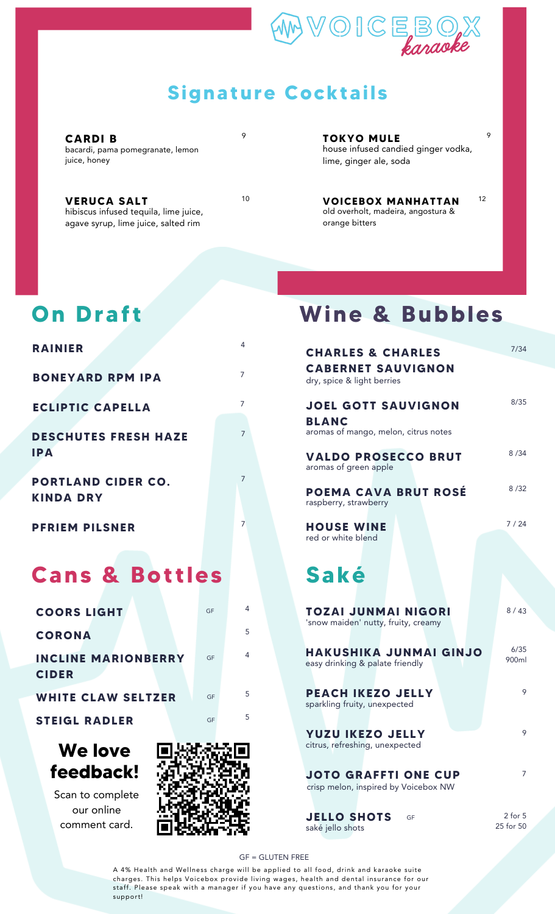

#### **Signature Cocktails**

**CARDI B** bacardi, pama pomegranate, lemon juice, honey

**VERUCA SALT** hibiscus infused tequila, lime juice, agave syrup, lime juice, salted rim

 $\circ$ 

**TOKYO MULE**

house infused candied ginger vodka, lime, ginger ale, soda

 $\circ$ 

12

<sup>10</sup> **VOICEBOX MANHATTAN** old overholt, madeira, angostura & orange bitters

#### **On Draf t**

| <b>RAINIER</b>                                |    | 4              |
|-----------------------------------------------|----|----------------|
| <b>BONEYARD RPM IPA</b>                       |    | 7              |
| <b>ECLIPTIC CAPELLA</b>                       |    | $\overline{7}$ |
| <b>DESCHUTES FRESH HAZE</b><br><b>IPA</b>     |    | 7              |
| <b>PORTLAND CIDER CO.</b><br><b>KINDA DRY</b> |    | 7              |
| <b>PFRIEM PILSNER</b>                         |    | 7              |
| <b>Cans &amp; Bottles</b>                     |    |                |
| <b>COORS LIGHT</b>                            | GF | 4              |
| <b>CORONA</b>                                 |    | 5              |
| <b>INCLINE MARIONBERRY</b><br><b>CIDER</b>    | GF | 4              |
| <b>WHITE CLAW SELTZER</b>                     | GF | 5              |
|                                               |    | Б.             |

**STEIGL RADLER** GF



Scan to complete our online comment card.



# **Wine & Bubbles**

| 4                   | <b>CHARLES &amp; CHARLES</b>                                                       | 7/34                     |
|---------------------|------------------------------------------------------------------------------------|--------------------------|
| 7                   | <b>CABERNET SAUVIGNON</b><br>dry, spice & light berries                            |                          |
| 7<br>$\overline{7}$ | <b>JOEL GOTT SAUVIGNON</b><br><b>BLANC</b><br>aromas of mango, melon, citrus notes | 8/35                     |
| 7                   | <b>VALDO PROSECCO BRUT</b><br>aromas of green apple                                | 8/34                     |
|                     | POEMA CAVA BRUT ROSÉ<br>raspberry, strawberry                                      | 8/32                     |
| 7                   | <b>HOUSE WINE</b><br>red or white blend                                            | 7/24                     |
|                     | Saké                                                                               |                          |
| 4<br>5              | <b>TOZAI JUNMAI NIGORI</b><br>'snow maiden' nutty, fruity, creamy                  | 8/43                     |
| 4                   | <b>HAKUSHIKA JUNMAI GINJO</b><br>easy drinking & palate friendly                   | 6/35<br>900ml            |
| 5<br>5              | <b>PEACH IKEZO JELLY</b><br>sparkling fruity, unexpected                           | 9                        |
|                     | <b>YUZU IKEZO JELLY</b><br>citrus, refreshing, unexpected                          | 9                        |
| AS RESI             | <b>JOTO GRAFFTI ONE CUP</b><br>crisp melon, inspired by Voicebox NW                | 7                        |
|                     | <b>JELLO SHOTS</b><br>GF<br>saké jello shots                                       | $2$ for $5$<br>25 for 50 |

GF = GLUTEN FREE

A 4% Health and Wellness charge will be applied to all food, drink and karaoke suite charges. This helps Voicebox provide living wages, health and dental insurance for our staff. Please speak with a manager if you have any questions, and thank you for your support!